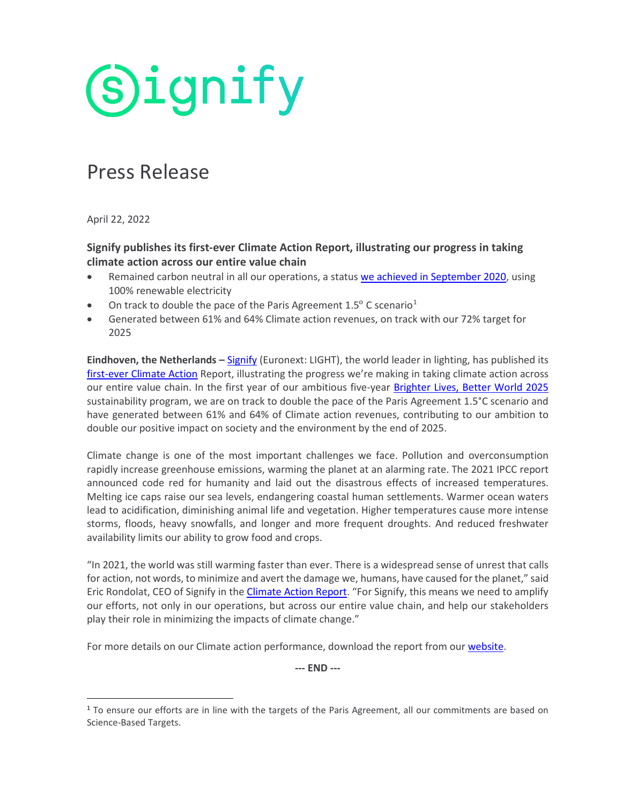**Signify** 

## Press Release

April 22, 2022

## **Signify publishes its first-ever Climate Action Report, illustrating our progress in taking climate action across our entire value chain**

- Remained carbon neutral in all our operations, a status [we achieved in September 2020,](https://www.signify.com/global/our-company/news/press-releases/2020/20200908-signify-achieves-carbon-neutrality-and-sets-course-to-double-its-positive-impact-on-the-environment-and-society) using 100% renewable electricity
- On track to double the pace of the Paris Agreement  $1.5^{\circ}$  $1.5^{\circ}$  C scenario<sup>1</sup>
- Generated between 61% and 64% Climate action revenues, on track with our 72% target for 2025

**Eindhoven, the Netherlands –** [Signify](http://www.signify.com/) (Euronext: LIGHT), the world leader in lighting, has published its [first-ever Climate Action](https://www.assets.signify.com/is/content/Signify/Assets/signify/global/20220422-climate-action-report-2021.pdf) Report, illustrating the progress we're making in taking climate action across our entire value chain. In the first year of our ambitious five-year [Brighter Lives, Better World 2025](https://www.signify.com/global/sustainability/brighter-lives-better-world-2025) sustainability program, we are on track to double the pace of the Paris Agreement 1.5°C scenario and have generated between 61% and 64% of Climate action revenues, contributing to our ambition to double our positive impact on society and the environment by the end of 2025.

Climate change is one of the most important challenges we face. Pollution and overconsumption rapidly increase greenhouse emissions, warming the planet at an alarming rate. The 2021 IPCC report announced code red for humanity and laid out the disastrous effects of increased temperatures. Melting ice caps raise our sea levels, endangering coastal human settlements. Warmer ocean waters lead to acidification, diminishing animal life and vegetation. Higher temperatures cause more intense storms, floods, heavy snowfalls, and longer and more frequent droughts. And reduced freshwater availability limits our ability to grow food and crops.

"In 2021, the world was still warming faster than ever. There is a widespread sense of unrest that calls for action, not words, to minimize and avert the damage we, humans, have caused for the planet," said Eric Rondolat, CEO of Signify in the [Climate Action Report.](https://www.assets.signify.com/is/content/Signify/Assets/signify/global/20220422-climate-action-report-2021.pdf) "For Signify, this means we need to amplify our efforts, not only in our operations, but across our entire value chain, and help our stakeholders play their role in minimizing the impacts of climate change."

For more details on our Climate action performance, download the report from our [website.](https://www.signify.com/global/sustainability/paris-agreement)

**--- END ---**

<span id="page-0-0"></span><sup>&</sup>lt;sup>1</sup> To ensure our efforts are in line with the targets of the Paris Agreement, all our commitments are based on Science-Based Targets.